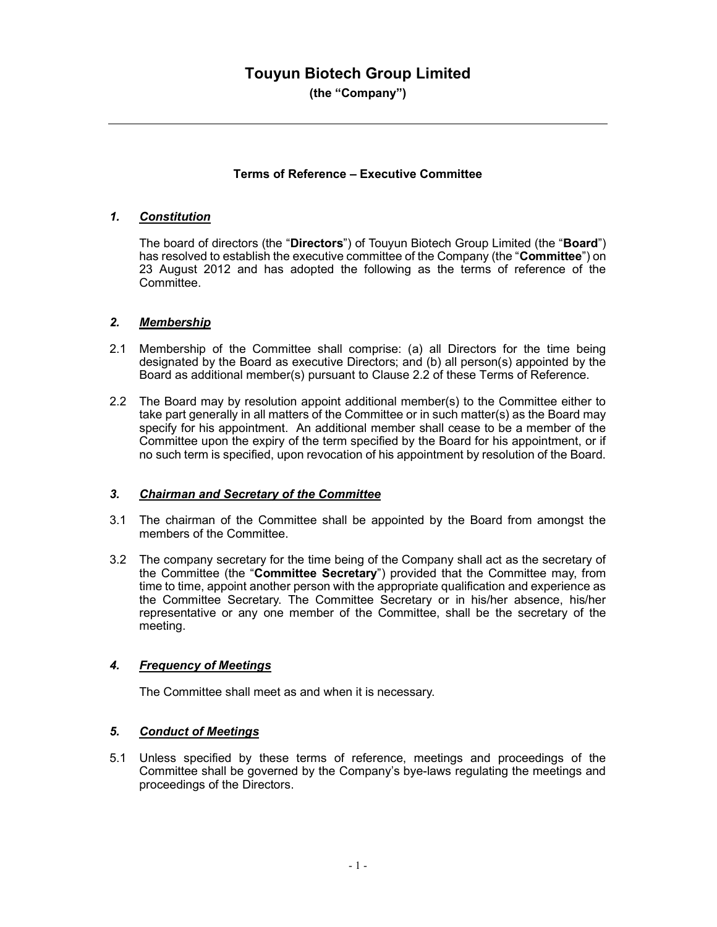# Touyun Biotech Group Limited

(the "Company")

#### Terms of Reference – Executive Committee

#### 1. Constitution

The board of directors (the "Directors") of Touyun Biotech Group Limited (the "Board") has resolved to establish the executive committee of the Company (the "Committee") on 23 August 2012 and has adopted the following as the terms of reference of the Committee.

## 2. Membership

- 2.1 Membership of the Committee shall comprise: (a) all Directors for the time being designated by the Board as executive Directors; and (b) all person(s) appointed by the Board as additional member(s) pursuant to Clause 2.2 of these Terms of Reference.
- 2.2 The Board may by resolution appoint additional member(s) to the Committee either to take part generally in all matters of the Committee or in such matter(s) as the Board may specify for his appointment. An additional member shall cease to be a member of the Committee upon the expiry of the term specified by the Board for his appointment, or if no such term is specified, upon revocation of his appointment by resolution of the Board.

#### 3. Chairman and Secretary of the Committee

- 3.1 The chairman of the Committee shall be appointed by the Board from amongst the members of the Committee.
- 3.2 The company secretary for the time being of the Company shall act as the secretary of the Committee (the "Committee Secretary") provided that the Committee may, from time to time, appoint another person with the appropriate qualification and experience as the Committee Secretary. The Committee Secretary or in his/her absence, his/her representative or any one member of the Committee, shall be the secretary of the meeting.

# 4. Frequency of Meetings

The Committee shall meet as and when it is necessary.

#### 5. Conduct of Meetings

5.1 Unless specified by these terms of reference, meetings and proceedings of the Committee shall be governed by the Company's bye-laws regulating the meetings and proceedings of the Directors.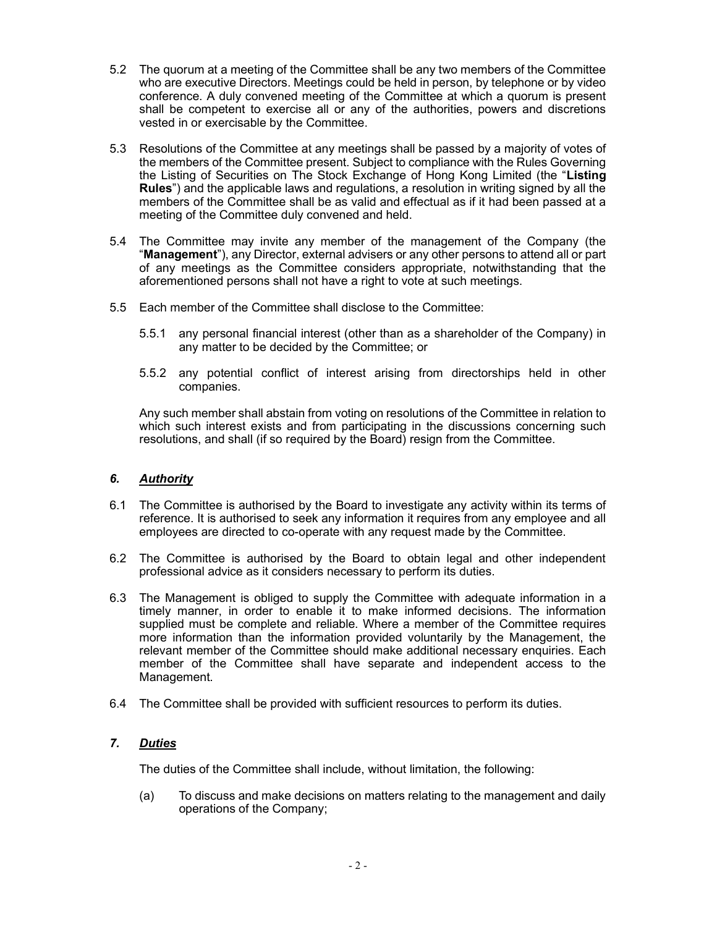- 5.2 The quorum at a meeting of the Committee shall be any two members of the Committee who are executive Directors. Meetings could be held in person, by telephone or by video conference. A duly convened meeting of the Committee at which a quorum is present shall be competent to exercise all or any of the authorities, powers and discretions vested in or exercisable by the Committee.
- 5.3 Resolutions of the Committee at any meetings shall be passed by a majority of votes of the members of the Committee present. Subject to compliance with the Rules Governing the Listing of Securities on The Stock Exchange of Hong Kong Limited (the "Listing Rules") and the applicable laws and regulations, a resolution in writing signed by all the members of the Committee shall be as valid and effectual as if it had been passed at a meeting of the Committee duly convened and held.
- 5.4 The Committee may invite any member of the management of the Company (the "Management"), any Director, external advisers or any other persons to attend all or part of any meetings as the Committee considers appropriate, notwithstanding that the aforementioned persons shall not have a right to vote at such meetings.
- 5.5 Each member of the Committee shall disclose to the Committee:
	- 5.5.1 any personal financial interest (other than as a shareholder of the Company) in any matter to be decided by the Committee; or
	- 5.5.2 any potential conflict of interest arising from directorships held in other companies.

Any such member shall abstain from voting on resolutions of the Committee in relation to which such interest exists and from participating in the discussions concerning such resolutions, and shall (if so required by the Board) resign from the Committee.

### 6. Authority

- 6.1 The Committee is authorised by the Board to investigate any activity within its terms of reference. It is authorised to seek any information it requires from any employee and all employees are directed to co-operate with any request made by the Committee.
- 6.2 The Committee is authorised by the Board to obtain legal and other independent professional advice as it considers necessary to perform its duties.
- 6.3 The Management is obliged to supply the Committee with adequate information in a timely manner, in order to enable it to make informed decisions. The information supplied must be complete and reliable. Where a member of the Committee requires more information than the information provided voluntarily by the Management, the relevant member of the Committee should make additional necessary enquiries. Each member of the Committee shall have separate and independent access to the Management.
- 6.4 The Committee shall be provided with sufficient resources to perform its duties.

# 7. Duties

The duties of the Committee shall include, without limitation, the following:

(a) To discuss and make decisions on matters relating to the management and daily operations of the Company;